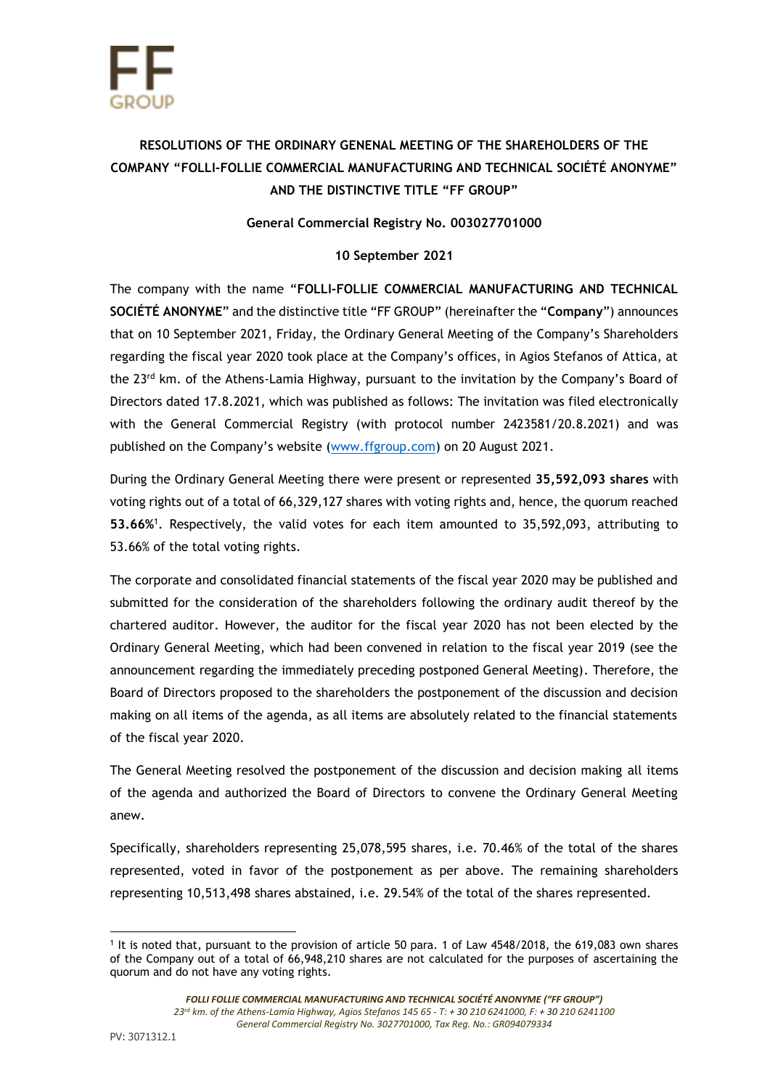## **RESOLUTIONS OF THE ORDINARY GENENAL MEETING OF THE SHAREHOLDERS OF THE COMPANY "FOLLI-FOLLIE COMMERCIAL MANUFACTURING AND TECHNICAL SOCIÉTÉ ANONYME" AND THE DISTINCTIVE TITLE "FF GROUP"**

## **General Commercial Registry No. 003027701000**

## **10 September 2021**

The company with the name "**FOLLI-FOLLIE COMMERCIAL MANUFACTURING AND TECHNICAL SOCIÉTÉ ANONYME**" and the distinctive title "FF GROUP" (hereinafter the "**Company**") announces that on 10 September 2021, Friday, the Ordinary General Meeting of the Company's Shareholders regarding the fiscal year 2020 took place at the Company's offices, in Agios Stefanos of Attica, at the 23<sup>rd</sup> km. of the Athens-Lamia Highway, pursuant to the invitation by the Company's Board of Directors dated 17.8.2021, which was published as follows: The invitation was filed electronically with the General Commercial Registry (with protocol number 2423581/20.8.2021) and was published on the Company's website [\(www.ffgroup.com\)](http://www.ffgroup.com/) on 20 August 2021.

During the Ordinary General Meeting there were present or represented **35,592,093 shares** with voting rights out of a total of 66,329,127 shares with voting rights and, hence, the quorum reached **53.66%** 1 . Respectively, the valid votes for each item amounted to 35,592,093, attributing to 53.66% of the total voting rights.

The corporate and consolidated financial statements of the fiscal year 2020 may be published and submitted for the consideration of the shareholders following the ordinary audit thereof by the chartered auditor. However, the auditor for the fiscal year 2020 has not been elected by the Ordinary General Meeting, which had been convened in relation to the fiscal year 2019 (see the announcement regarding the immediately preceding postponed General Meeting). Therefore, the Board of Directors proposed to the shareholders the postponement of the discussion and decision making on all items of the agenda, as all items are absolutely related to the financial statements of the fiscal year 2020.

The General Meeting resolved the postponement of the discussion and decision making all items of the agenda and authorized the Board of Directors to convene the Ordinary General Meeting anew.

Specifically, shareholders representing 25,078,595 shares, i.e. 70.46% of the total of the shares represented, voted in favor of the postponement as per above. The remaining shareholders representing 10,513,498 shares abstained, i.e. 29.54% of the total of the shares represented.

<sup>1</sup> It is noted that, pursuant to the provision of article 50 para. 1 of Law 4548/2018, the 619,083 own shares of the Company out of a total of 66,948,210 shares are not calculated for the purposes of ascertaining the quorum and do not have any voting rights.